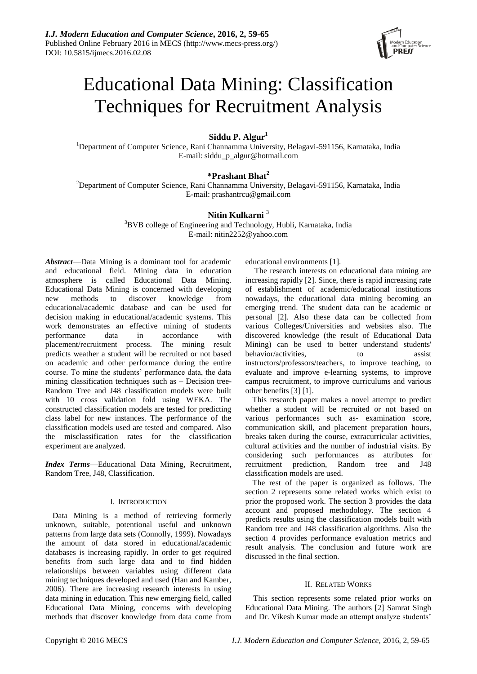

# Educational Data Mining: Classification Techniques for Recruitment Analysis

**Siddu P. Algur<sup>1</sup>**

<sup>1</sup>Department of Computer Science, Rani Channamma University, Belagavi-591156, Karnataka, India E-mail: siddu\_p\_algur@hotmail.com

# **\*Prashant Bhat<sup>2</sup>**

<sup>2</sup>Department of Computer Science, Rani Channamma University, Belagavi-591156, Karnataka, India E-mail[: prashantrcu@gmail.com](mailto:prashantrcu@gmail.com)

# **Nitin Kulkarni** <sup>3</sup>

<sup>3</sup>BVB college of Engineering and Technology, Hubli, Karnataka, India E-mail: nitin2252@yahoo.com

*Abstract*—Data Mining is a dominant tool for academic and educational field. Mining data in education atmosphere is called Educational Data Mining. Educational Data Mining is concerned with developing new methods to discover knowledge from educational/academic database and can be used for decision making in educational/academic systems. This work demonstrates an effective mining of students performance data in accordance with placement/recruitment process. The mining result predicts weather a student will be recruited or not based on academic and other performance during the entire course. To mine the students' performance data, the data mining classification techniques such as – Decision tree-Random Tree and J48 classification models were built with 10 cross validation fold using WEKA. The constructed classification models are tested for predicting class label for new instances. The performance of the classification models used are tested and compared. Also the misclassification rates for the classification experiment are analyzed.

*Index Terms*—Educational Data Mining, Recruitment, Random Tree, J48, Classification.

## I. INTRODUCTION

Data Mining is a method of retrieving formerly unknown, suitable, potentional useful and unknown patterns from large data sets (Connolly, 1999). Nowadays the amount of data stored in educational/academic databases is increasing rapidly. In order to get required benefits from such large data and to find hidden relationships between variables using different data mining techniques developed and used (Han and Kamber, 2006). There are increasing research interests in using data mining in education. This new emerging field, called Educational Data Mining, concerns with developing methods that discover knowledge from data come from

educational environments [1].

The research interests on educational data mining are increasing rapidly [2]. Since, there is rapid increasing rate of establishment of academic/educational institutions nowadays, the educational data mining becoming an emerging trend. The student data can be academic or personal [2]. Also these data can be collected from various Colleges/Universities and websites also. The discovered knowledge (the result of Educational Data Mining) can be used to better understand students' behavior/activities, to assist instructors/professors/teachers, to improve teaching, to evaluate and improve e-learning systems, to improve campus recruitment, to improve curriculums and various other benefits [3] [1].

This research paper makes a novel attempt to predict whether a student will be recruited or not based on various performances such as- examination score, communication skill, and placement preparation hours, breaks taken during the course, extracurricular activities, cultural activities and the number of industrial visits. By considering such performances as attributes for recruitment prediction, Random tree and J48 classification models are used.

The rest of the paper is organized as follows. The section 2 represents some related works which exist to prior the proposed work. The section 3 provides the data account and proposed methodology. The section 4 predicts results using the classification models built with Random tree and J48 classification algorithms. Also the section 4 provides performance evaluation metrics and result analysis. The conclusion and future work are discussed in the final section.

## II. RELATED WORKS

This section represents some related prior works on Educational Data Mining. The authors [2] Samrat Singh and Dr. Vikesh Kumar made an attempt analyze students'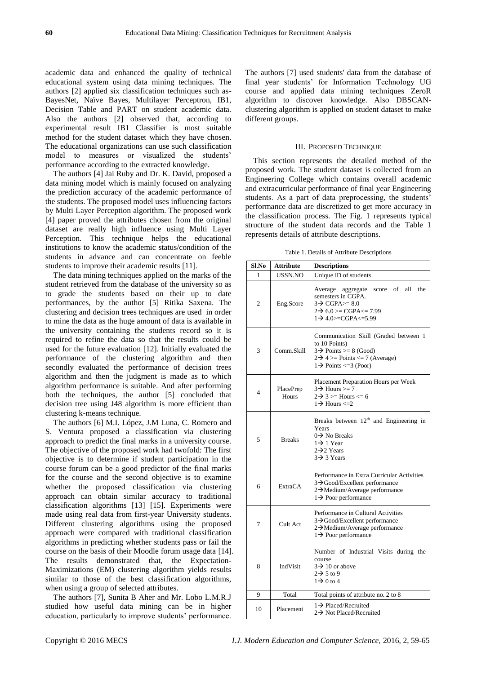academic data and enhanced the quality of technical educational system using data mining techniques. The authors [2] applied six classification techniques such as-BayesNet, Naïve Bayes, Multilayer Perceptron, IB1, Decision Table and PART on student academic data. Also the authors [2] observed that, according to experimental result IB1 Classifier is most suitable method for the student dataset which they have chosen. The educational organizations can use such classification model to measures or visualized the students' performance according to the extracted knowledge.

The authors [4] Jai Ruby and Dr. K. David, proposed a data mining model which is mainly focused on analyzing the prediction accuracy of the academic performance of the students. The proposed model uses influencing factors by Multi Layer Perception algorithm. The proposed work [4] paper proved the attributes chosen from the original dataset are really high influence using Multi Layer Perception. This technique helps the educational institutions to know the academic status/condition of the students in advance and can concentrate on feeble students to improve their academic results [11].

The data mining techniques applied on the marks of the student retrieved from the database of the university so as to grade the students based on their up to date performances, by the author [5] Ritika Saxena. The clustering and decision trees techniques are used in order to mine the data as the huge amount of data is available in the university containing the students record so it is required to refine the data so that the results could be used for the future evaluation [12]. Initially evaluated the performance of the clustering algorithm and then secondly evaluated the performance of decision trees algorithm and then the judgment is made as to which algorithm performance is suitable. And after performing both the techniques, the author [5] concluded that decision tree using J48 algorithm is more efficient than clustering k-means technique.

The authors [6] M.I. López, J.M Luna, C. Romero and S. Ventura proposed a classification via clustering approach to predict the final marks in a university course. The objective of the proposed work had twofold: The first objective is to determine if student participation in the course forum can be a good predictor of the final marks for the course and the second objective is to examine whether the proposed classification via clustering approach can obtain similar accuracy to traditional classification algorithms [13] [15]. Experiments were made using real data from first-year University students. Different clustering algorithms using the proposed approach were compared with traditional classification algorithms in predicting whether students pass or fail the course on the basis of their Moodle forum usage data [14]. The results demonstrated that, the Expectation-Maximizations (EM) clustering algorithm yields results similar to those of the best classification algorithms, when using a group of selected attributes.

The authors [7], Sunita B Aher and Mr. Lobo L.M.R.J studied how useful data mining can be in higher education, particularly to improve students' performance. The authors [7] used students' data from the database of final year students' for Information Technology UG course and applied data mining techniques ZeroR algorithm to discover knowledge. Also DBSCANclustering algorithm is applied on student dataset to make different groups.

#### III. PROPOSED TECHNIQUE

This section represents the detailed method of the proposed work. The student dataset is collected from an Engineering College which contains overall academic and extracurricular performance of final year Engineering students. As a part of data preprocessing, the students' performance data are discretized to get more accuracy in the classification process. The Fig. 1 represents typical structure of the student data records and the Table 1 represents details of attribute descriptions.

Table 1. Details of Attribute Descriptions

| Sl.No          | <b>Attribute</b>   | <b>Descriptions</b>                                                                                                                                                             |  |  |
|----------------|--------------------|---------------------------------------------------------------------------------------------------------------------------------------------------------------------------------|--|--|
| 1              | USSN.NO            | Unique ID of students                                                                                                                                                           |  |  |
| $\overline{c}$ | Eng.Score          | score of all<br>the<br>Average<br>aggregate<br>semesters in CGPA.<br>$3\rightarrow$ CGPA $> = 8.0$<br>$2\rightarrow 6.0$ >= CGPA<= 7.99<br>$1 \rightarrow 4.0$ > = CGPA <= 5.99 |  |  |
| 3              | Comm.Skill         | Communication Skill (Graded between 1<br>to 10 Points)<br>$3\rightarrow$ Points >= 8 (Good)<br>$2\rightarrow 4 \ge Points \le 7$ (Average)<br>$1\rightarrow$ Points <= 3 (Poor) |  |  |
| 4              | PlacePrep<br>Hours | Placement Preparation Hours per Week<br>$3\rightarrow$ Hours >= 7<br>$2\rightarrow 3 \ge$ Hours $\le$ 6<br>$1 \rightarrow$ Hours $\leq 2$                                       |  |  |
| 5              | <b>Breaks</b>      | Breaks between $12th$ and Engineering in<br>Years<br>$0 \rightarrow$ No Breaks<br>$1 \rightarrow 1$ Year<br>$2\rightarrow 2$ Years<br>$3\rightarrow 3$ Years                    |  |  |
| 6              | <b>ExtraCA</b>     | Performance in Extra Curricular Activities<br>3→Good/Excellent performance<br>2→Medium/Average performance<br>1 → Poor performance                                              |  |  |
| 7              | Cult Act           | Performance in Cultural Activities<br>3→Good/Excellent performance<br>2→Medium/Average performance<br>$1\rightarrow$ Poor performance                                           |  |  |
| 8              | IndVisit           | Number of Industrial Visits during the<br>course<br>$3\rightarrow 10$ or above<br>$2 \rightarrow 5$ to 9<br>$1\rightarrow 0$ to 4                                               |  |  |
| 9              | Total              | Total points of attribute no. 2 to 8                                                                                                                                            |  |  |
| 10             | Placement          | $1 \rightarrow$ Placed/Recruited<br>$2\rightarrow$ Not Placed/Recruited                                                                                                         |  |  |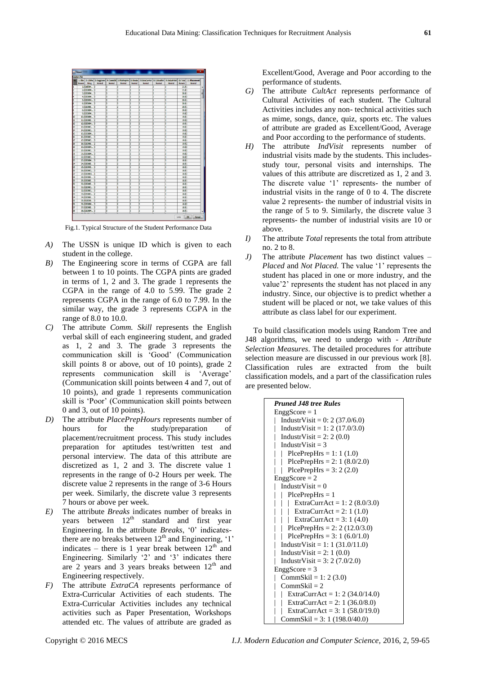|                | Relation: Pdp    |                             |                                  |         |         |         |                                                                                                         |         |         |                |                                      |
|----------------|------------------|-----------------------------|----------------------------------|---------|---------|---------|---------------------------------------------------------------------------------------------------------|---------|---------|----------------|--------------------------------------|
| ь              | 1:50%<br>Numeric | String                      | 2: USNIo 3: EnadScore<br>Nominal | Nominal | Nominal | Nominal | 4: ConnGid   5: PlosPrepHrs   6: Breaks   7: ExtraCurrAct   8: CulturalAct   9: IndustrVat  <br>Nominal | Nominal | Nominal | Numeric        | 10: Total   11: Placement<br>Nominal |
|                |                  | 1.0 2sd09m                  | B                                | a       | b       | b       | ß                                                                                                       | Б       | b       | 21.01          |                                      |
|                |                  | 2.0 25009M                  | b                                | b       | b       | b       | b                                                                                                       | īs      | b       | 21.0 1         |                                      |
|                |                  | 3.0 29009M                  | b                                | b       | b       | 13      | i3                                                                                                      | þ       | b       | 20.0 1         |                                      |
|                |                  | 4.0 25DO9M                  | b                                | b       | b       | b       | lз                                                                                                      | Ŀ       | b       | 20.02          |                                      |
|                |                  | 5.0 2500 PM                 | ाउ                               | Is      | Is      | в       | ls                                                                                                      | īz      | Is      | 20.01          |                                      |
|                |                  | 6.0 250 0 M                 | b                                | h       | b       | ь       | ъ                                                                                                       | īz      | h       | 20.0 1         |                                      |
|                |                  | 7.0 2900E                   | k                                | k       | b       | k       | īs                                                                                                      | īs      | Ъ       | 20.01          |                                      |
|                |                  | 8.0 29003M                  | łз                               | b       | b       | lз      | lз                                                                                                      | b       | b       | 20,02          |                                      |
|                |                  | 9.0 250 09M                 | b                                | b       | b       | b       | b                                                                                                       | 12      | ٥       | 19.02          |                                      |
| 10             |                  | 10.0 25D03M                 | b                                | Is      | b       | Б       | E                                                                                                       | 13      | 13      | 19.01          |                                      |
| m              |                  | 11.0 2SD08E                 | 12                               | Б       | ъ       | Ъ       | īz                                                                                                      | 13      | ō       | 19.02          |                                      |
| 12             |                  | 12.0 25D08M                 | b                                | Б       | в       | īs      | ī2                                                                                                      | 12      | Ъ       | 19.01          |                                      |
| B              |                  | 13.0 250 03C                | łз                               | ls      | b       | b       | lз                                                                                                      | b       | b       | 19.011         |                                      |
| 14             |                  | 14.0 25D08C                 | b                                | в       | b       | b       | b                                                                                                       | þ       | ٥       | 19.02          |                                      |
| 15             |                  | 15.0 25003M                 | b                                | ls      | b       | Is      | 13                                                                                                      | Iz      | ь       | 19.02          |                                      |
| 16             |                  | 16.0 2SD08C                 | b                                | lī      | 2       | ā       | ā                                                                                                       | īż      | ō       | 19.011         |                                      |
| m              |                  | 17.0 29000C                 | b                                | k       | b       | ß       | ß                                                                                                       | 12      | Ъ       | 19.01          |                                      |
| <b>IB</b>      |                  | 18.0 2920年                  | b                                | ls      | ाउ      | lз      | lз                                                                                                      | īz      | ū       | 19.02          |                                      |
| 19<br>lм       |                  | 19.0 2SD08M<br>20.0 250 030 | b<br>łз                          | 5<br>b  | ā<br>b  | Б<br>Ъ  | b<br>ls                                                                                                 | Б<br>Б  | ٦<br>b  | 19.02<br>19.07 |                                      |
|                |                  |                             |                                  | lī      |         |         |                                                                                                         |         |         |                |                                      |
| 21<br>22       |                  | 21.0 250 GBM<br>22.0 29008C | b<br>b                           | в       | b<br>2  | Ъ<br>ь  | ъ<br>ī                                                                                                  | 12<br>ß | ō<br>Ъ  | 19.02<br>18.02 |                                      |
| 23             |                  | 23.0 25D03M                 | b                                | ь       | þ       | īs      | b                                                                                                       | 12      | ū       | 18.011         |                                      |
| Iм             |                  | 24.0.250.08F                | ā                                | в       | b       | b       | 12                                                                                                      | 12      | b       | 18.0 1         |                                      |
| lzs            |                  | 25.0 2500 K                 | łз                               | ls      | b       | b       | l2                                                                                                      | l2      | b       | 18.0 1         |                                      |
| l26            |                  | <b>26.0 250 030</b>         | a                                | ls      | h       | ā       | īs                                                                                                      | 12      | a       | 18.0 1         |                                      |
| m              |                  | 27.0 2SD08IS                | ı                                | h       | 2       | h       | h                                                                                                       | Ъ       | h       | 18.02          |                                      |
| 28             |                  | 28.0 25D08E                 | b                                | b       | ট       | ъ       | b                                                                                                       | īs      | ı       | 18.011         |                                      |
| lz             |                  | 29.0.250.08E                | ā                                | Б       | 5       | Б       | ls                                                                                                      | 12      | ı       | 18.01          |                                      |
| 30             |                  | 30.0 250 086                | łз                               | ls      | łз      | 12      | ls                                                                                                      | Б       | h       | 18.0 1         |                                      |
| 31             |                  | 31.0 25008C                 | ाउ                               | Iz      | ī       | з       | īs                                                                                                      | īs      | o       | 18.01          |                                      |
| $\overline{3}$ |                  | 32.0 292080                 | b                                | b       | h       | Б       | b                                                                                                       | Б       | ō       | 18.01          |                                      |
| 33             |                  | 33.0 250 080                | 12                               | b       | þ       | l2      | b                                                                                                       | īs      | b       | 18.0 1         |                                      |
| M              |                  | 34.0 2SD03E                 | b                                | B       | b       | E       | 13                                                                                                      | 13      | h       | 18.0 1         |                                      |
| 35             |                  | 35.0029008                  | ā                                | ь       | 2       | b       | ls                                                                                                      | ls      | h       | 18.0 1         |                                      |
| 36             |                  | 36.0 2SD08M                 | B                                | Is      | b       | з       | Is                                                                                                      | 13      | ı       | 18.02          |                                      |
| 37             |                  | 37.0 292036                 | b                                | b       | b       | b       | b                                                                                                       | lz      | h       | 18,011         |                                      |
| 38             |                  | 38.0 25D08M                 | b                                | Б       | b       | Б       | īs                                                                                                      | Þ       | ī       | 18.0 1         |                                      |
|                |                  |                             |                                  |         |         |         |                                                                                                         |         |         |                |                                      |

Fig.1. Typical Structure of the Student Performance Data

- *A)* The USSN is unique ID which is given to each student in the college.
- *B)* The Engineering score in terms of CGPA are fall between 1 to 10 points. The CGPA pints are graded in terms of 1, 2 and 3. The grade 1 represents the CGPA in the range of 4.0 to 5.99. The grade 2 represents CGPA in the range of 6.0 to 7.99. In the similar way, the grade 3 represents CGPA in the range of 8.0 to 10.0.
- *C)* The attribute *Comm. Skill* represents the English verbal skill of each engineering student, and graded as 1, 2 and 3. The grade 3 represents the communication skill is ‗Good' (Communication skill points 8 or above, out of 10 points), grade 2 represents communication skill is 'Average' (Communication skill points between 4 and 7, out of 10 points), and grade 1 represents communication skill is 'Poor' (Communication skill points between 0 and 3, out of 10 points).
- *D)* The attribute *PlacePrepHours* represents number of hours for the study/preparation of placement/recruitment process. This study includes preparation for aptitudes test/written test and personal interview. The data of this attribute are discretized as 1, 2 and 3. The discrete value 1 represents in the range of 0-2 Hours per week. The discrete value 2 represents in the range of 3-6 Hours per week. Similarly, the discrete value 3 represents 7 hours or above per week.
- *E)* The attribute *Breaks* indicates number of breaks in years between  $12<sup>th</sup>$  standard and first year Engineering. In the attribute *Breaks*, '0' indicatesthere are no breaks between  $12<sup>th</sup>$  and Engineering,  $1'$ indicates – there is 1 year break between  $12<sup>th</sup>$  and Engineering. Similarly '2' and '3' indicates there are 2 years and 3 years breaks between  $12<sup>th</sup>$  and Engineering respectively.
- *F)* The attribute *ExtraCA* represents performance of Extra-Curricular Activities of each students. The Extra-Curricular Activities includes any technical activities such as Paper Presentation, Workshops attended etc. The values of attribute are graded as

Excellent/Good, Average and Poor according to the performance of students.

- *G)* The attribute *CultAct* represents performance of Cultural Activities of each student. The Cultural Activities includes any non- technical activities such as mime, songs, dance, quiz, sports etc. The values of attribute are graded as Excellent/Good, Average and Poor according to the performance of students.
- *H)* The attribute *IndVisit* represents number of industrial visits made by the students. This includesstudy tour, personal visits and internships. The values of this attribute are discretized as 1, 2 and 3. The discrete value '1' represents- the number of industrial visits in the range of 0 to 4. The discrete value 2 represents- the number of industrial visits in the range of 5 to 9. Similarly, the discrete value 3 represents- the number of industrial visits are 10 or above.
- *I)* The attribute *Total* represents the total from attribute no. 2 to 8.
- *J)* The attribute *Placement* has two distinct values *Placed* and *Not Placed.* The value ‗1' represents the student has placed in one or more industry, and the value'2' represents the student has not placed in any industry. Since, our objective is to predict whether a student will be placed or not, we take values of this attribute as class label for our experiment.

To build classification models using Random Tree and J48 algorithms, we need to undergo with - *Attribute Selection Measures*. The detailed procedures for attribute selection measure are discussed in our previous work [8]. Classification rules are extracted from the built classification models, and a part of the classification rules are presented below.

| <b>Pruned J48 tree Rules</b>                   |
|------------------------------------------------|
| $EnggScore = 1$                                |
| IndustrVisit = $0: 2 (37.0/6.0)$               |
| IndustrVisit = 1: 2 (17.0/3.0)                 |
| IndustrVisit = $2: 2(0.0)$                     |
| IndustrVisit = $3$                             |
| $PicePrepHrs = 1: 1 (1.0)$                     |
| PlcePrepHrs = 2: 1 $(8.0/2.0)$<br>$\mathbb{R}$ |
| PlcePrepHrs = $3: 2(2.0)$                      |
| $EnggScore = 2$                                |
| IndustrVisit = $0$                             |
| $P$ lce $P$ rep $H$ rs = 1                     |
| ExtraCurrAct = 1: 2 (8.0/3.0)                  |
| ExtraCurrAct = 2: 1 (1.0)                      |
| ExtraCurrAct = 3: 1 (4.0)                      |
| PlcePrepHrs = 2: 2 (12.0/3.0)                  |
| PlcePrepHrs = $3:1(6.0/1.0)$                   |
| IndustrVisit = 1: 1 $(31.0/11.0)$              |
| IndustrVisit = $2:1(0.0)$                      |
| IndustrVisit = $3: 2 (7.0/2.0)$                |
| $EnggScore = 3$                                |
| CommSkil = 1: 2 $(3.0)$                        |
| $CommSki = 2$                                  |
| ExtraCurrAct = 1: 2 (34.0/14.0)                |
| ExtraCurrAct = 2: 1 (36.0/8.0)                 |
| ExtraCurrAct = 3: 1 $(58.0/19.0)$              |
| CommSkil = $3:1(198.0/40.0)$                   |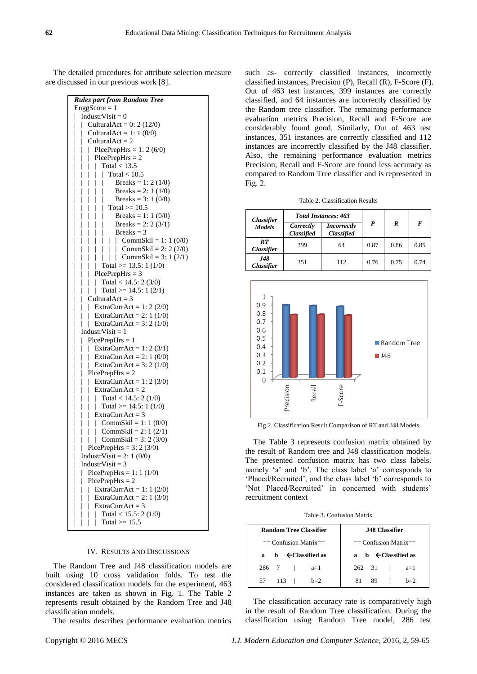The detailed procedures for attribute selection measure are discussed in our previous work [8].

| $EnggScore = 1$<br>$ $ IndustrVisit = 0<br>Cultural $Act = 0: 2(12/0)$<br>I<br>$\mathbb{R}$<br>$\mathbb{L}$<br>Cultural $Act = 1: 1 (0/0)$<br>I<br>  Cultural $Act = 2$<br>    PlcePrepHrs = 1: 2 (6/0)<br>    PlcePrepHrs = 2<br>$\overline{\phantom{a}}$<br>$\overline{\phantom{a}}$<br>Total $<$ 13.5<br>$\overline{\phantom{a}}$<br>      Total < 13.5<br>        Total < 10.5<br>        Breaks = 1: 2 (1/0)<br>        Breaks = 2: 1 (1/0)<br>        Breaks = 3: 1 (0/0)<br>        Total >= 10.5<br>        Breaks = 1: 1 (0/0)<br>        Breaks = 2: 2 (3/1)<br>        Brea<br>I<br>$\overline{\phantom{a}}$<br>$\overline{\phantom{a}}$<br>$\overline{\phantom{a}}$<br>$\overline{\phantom{a}}$<br>$\overline{\phantom{a}}$<br>$\overline{\phantom{a}}$<br>$\overline{\phantom{a}}$<br>I<br>$\overline{\phantom{a}}$<br>$\overline{\phantom{a}}$<br>$\overline{\phantom{a}}$<br>$\bigg $<br>$\overline{\phantom{a}}$<br>$\mathbb{R}$<br>Total >= $14.5: 1(2/1)$<br>$\overline{\phantom{a}}$<br>$\overline{\phantom{a}}$<br>Cultural $Act = 3$<br>  ExtraCurr $Act = 1: 2 (2/0)$<br>$\frac{1}{2}$<br>I<br>$\overline{\phantom{a}}$<br>$\overline{\phantom{a}}$<br>$\mathbb T$<br>ExtraCurrAct = $2:1(1/0)$<br>I<br>$\overline{\phantom{a}}$<br>  ExtraCurrAct = 3: 2 (1/0)<br>I<br>I<br>Industr $V$ isit = 1<br>I<br>$PicePrepHrs = 1$<br>$\overline{\phantom{a}}$<br>I<br>ExtraCurrAct = 1: 2 (3/1)<br>$\overline{\phantom{a}}$<br>$\mathbb{R}$<br>I<br>  ExtraCurrAct = 2: 1 (0/0)<br>  ExtraCurrAct = 3: 2 (1/0)<br>I<br>$\overline{\phantom{a}}$<br>$\overline{\phantom{a}}$<br>I<br>$ $ PlcePrepHrs = 2<br>I<br>  ExtraCurrAct = 1: 2 (3/0)<br>I<br>$\begin{array}{r} \mid \text{ ExtraCurrent} \text{C} = 1.2 \ (30) \\ \mid \text{ (ExtraCurrent)} \text{C} = 2 \\ \mid \text{ (10)} \text{ (11)} \\ \mid \text{ (11)} \text{ (12)} = 14.5:1 \ (1/0) \\ \mid \text{ (12)} \text{ (12)} \\ \mid \text{ (13)} \text{ (14)} = 2:1 \ (2/1) \\ \mid \text{ (13)} \text{ (14)} = 2:1 \ (2/1) \\ \mid \text{ (14)} \text{ (15)} = 2:1 \ (2/1) \\ \mid \text{ (15)} \text{ (15)} = 2:$<br>I<br>$\overline{\phantom{a}}$<br>$\overline{\phantom{a}}$<br>$\overline{\phantom{a}}$<br>$\mid$<br>$\mid$<br>  CommSkil = 3: 2 (3/0)<br>I<br>$\overline{\phantom{a}}$<br>  PlcePrepHrs = $3:2(3/0)$<br>$\overline{a}$<br>IndustrVisit = 2: 1 (0/0)<br>$\mathbb{R}$<br>IndustrVisit = $3$<br>PlcePrepHrs = 1: 1 (1/0)<br>$P$ lce $P$ rep $H$ rs = 2<br>ExtraCurrAct = 1: 1 $(2/0)$<br>ExtraCurrAct = $2:1(3/0)$<br>$Extract = 3$<br>Total < $15.5: 2(1/0)$<br>I | <b>Rules part from Random Tree</b> |
|--------------------------------------------------------------------------------------------------------------------------------------------------------------------------------------------------------------------------------------------------------------------------------------------------------------------------------------------------------------------------------------------------------------------------------------------------------------------------------------------------------------------------------------------------------------------------------------------------------------------------------------------------------------------------------------------------------------------------------------------------------------------------------------------------------------------------------------------------------------------------------------------------------------------------------------------------------------------------------------------------------------------------------------------------------------------------------------------------------------------------------------------------------------------------------------------------------------------------------------------------------------------------------------------------------------------------------------------------------------------------------------------------------------------------------------------------------------------------------------------------------------------------------------------------------------------------------------------------------------------------------------------------------------------------------------------------------------------------------------------------------------------------------------------------------------------------------------------------------------------------------------------------------------------------------------------------------------------------------------------------------------------------------------------------------------------------------------------------------------------------------------------------------------------------------------------------------------------------------------------------------------------------------------------------------------------------------------------------------------------------------------------------------------------------------------------------------------------------------------------------------------------------------------------------------------------|------------------------------------|
|                                                                                                                                                                                                                                                                                                                                                                                                                                                                                                                                                                                                                                                                                                                                                                                                                                                                                                                                                                                                                                                                                                                                                                                                                                                                                                                                                                                                                                                                                                                                                                                                                                                                                                                                                                                                                                                                                                                                                                                                                                                                                                                                                                                                                                                                                                                                                                                                                                                                                                                                                                    |                                    |
|                                                                                                                                                                                                                                                                                                                                                                                                                                                                                                                                                                                                                                                                                                                                                                                                                                                                                                                                                                                                                                                                                                                                                                                                                                                                                                                                                                                                                                                                                                                                                                                                                                                                                                                                                                                                                                                                                                                                                                                                                                                                                                                                                                                                                                                                                                                                                                                                                                                                                                                                                                    |                                    |
|                                                                                                                                                                                                                                                                                                                                                                                                                                                                                                                                                                                                                                                                                                                                                                                                                                                                                                                                                                                                                                                                                                                                                                                                                                                                                                                                                                                                                                                                                                                                                                                                                                                                                                                                                                                                                                                                                                                                                                                                                                                                                                                                                                                                                                                                                                                                                                                                                                                                                                                                                                    |                                    |
|                                                                                                                                                                                                                                                                                                                                                                                                                                                                                                                                                                                                                                                                                                                                                                                                                                                                                                                                                                                                                                                                                                                                                                                                                                                                                                                                                                                                                                                                                                                                                                                                                                                                                                                                                                                                                                                                                                                                                                                                                                                                                                                                                                                                                                                                                                                                                                                                                                                                                                                                                                    |                                    |
|                                                                                                                                                                                                                                                                                                                                                                                                                                                                                                                                                                                                                                                                                                                                                                                                                                                                                                                                                                                                                                                                                                                                                                                                                                                                                                                                                                                                                                                                                                                                                                                                                                                                                                                                                                                                                                                                                                                                                                                                                                                                                                                                                                                                                                                                                                                                                                                                                                                                                                                                                                    |                                    |
|                                                                                                                                                                                                                                                                                                                                                                                                                                                                                                                                                                                                                                                                                                                                                                                                                                                                                                                                                                                                                                                                                                                                                                                                                                                                                                                                                                                                                                                                                                                                                                                                                                                                                                                                                                                                                                                                                                                                                                                                                                                                                                                                                                                                                                                                                                                                                                                                                                                                                                                                                                    |                                    |
|                                                                                                                                                                                                                                                                                                                                                                                                                                                                                                                                                                                                                                                                                                                                                                                                                                                                                                                                                                                                                                                                                                                                                                                                                                                                                                                                                                                                                                                                                                                                                                                                                                                                                                                                                                                                                                                                                                                                                                                                                                                                                                                                                                                                                                                                                                                                                                                                                                                                                                                                                                    |                                    |
|                                                                                                                                                                                                                                                                                                                                                                                                                                                                                                                                                                                                                                                                                                                                                                                                                                                                                                                                                                                                                                                                                                                                                                                                                                                                                                                                                                                                                                                                                                                                                                                                                                                                                                                                                                                                                                                                                                                                                                                                                                                                                                                                                                                                                                                                                                                                                                                                                                                                                                                                                                    |                                    |
|                                                                                                                                                                                                                                                                                                                                                                                                                                                                                                                                                                                                                                                                                                                                                                                                                                                                                                                                                                                                                                                                                                                                                                                                                                                                                                                                                                                                                                                                                                                                                                                                                                                                                                                                                                                                                                                                                                                                                                                                                                                                                                                                                                                                                                                                                                                                                                                                                                                                                                                                                                    |                                    |
|                                                                                                                                                                                                                                                                                                                                                                                                                                                                                                                                                                                                                                                                                                                                                                                                                                                                                                                                                                                                                                                                                                                                                                                                                                                                                                                                                                                                                                                                                                                                                                                                                                                                                                                                                                                                                                                                                                                                                                                                                                                                                                                                                                                                                                                                                                                                                                                                                                                                                                                                                                    |                                    |
|                                                                                                                                                                                                                                                                                                                                                                                                                                                                                                                                                                                                                                                                                                                                                                                                                                                                                                                                                                                                                                                                                                                                                                                                                                                                                                                                                                                                                                                                                                                                                                                                                                                                                                                                                                                                                                                                                                                                                                                                                                                                                                                                                                                                                                                                                                                                                                                                                                                                                                                                                                    |                                    |
|                                                                                                                                                                                                                                                                                                                                                                                                                                                                                                                                                                                                                                                                                                                                                                                                                                                                                                                                                                                                                                                                                                                                                                                                                                                                                                                                                                                                                                                                                                                                                                                                                                                                                                                                                                                                                                                                                                                                                                                                                                                                                                                                                                                                                                                                                                                                                                                                                                                                                                                                                                    |                                    |
|                                                                                                                                                                                                                                                                                                                                                                                                                                                                                                                                                                                                                                                                                                                                                                                                                                                                                                                                                                                                                                                                                                                                                                                                                                                                                                                                                                                                                                                                                                                                                                                                                                                                                                                                                                                                                                                                                                                                                                                                                                                                                                                                                                                                                                                                                                                                                                                                                                                                                                                                                                    |                                    |
|                                                                                                                                                                                                                                                                                                                                                                                                                                                                                                                                                                                                                                                                                                                                                                                                                                                                                                                                                                                                                                                                                                                                                                                                                                                                                                                                                                                                                                                                                                                                                                                                                                                                                                                                                                                                                                                                                                                                                                                                                                                                                                                                                                                                                                                                                                                                                                                                                                                                                                                                                                    |                                    |
|                                                                                                                                                                                                                                                                                                                                                                                                                                                                                                                                                                                                                                                                                                                                                                                                                                                                                                                                                                                                                                                                                                                                                                                                                                                                                                                                                                                                                                                                                                                                                                                                                                                                                                                                                                                                                                                                                                                                                                                                                                                                                                                                                                                                                                                                                                                                                                                                                                                                                                                                                                    |                                    |
|                                                                                                                                                                                                                                                                                                                                                                                                                                                                                                                                                                                                                                                                                                                                                                                                                                                                                                                                                                                                                                                                                                                                                                                                                                                                                                                                                                                                                                                                                                                                                                                                                                                                                                                                                                                                                                                                                                                                                                                                                                                                                                                                                                                                                                                                                                                                                                                                                                                                                                                                                                    |                                    |
|                                                                                                                                                                                                                                                                                                                                                                                                                                                                                                                                                                                                                                                                                                                                                                                                                                                                                                                                                                                                                                                                                                                                                                                                                                                                                                                                                                                                                                                                                                                                                                                                                                                                                                                                                                                                                                                                                                                                                                                                                                                                                                                                                                                                                                                                                                                                                                                                                                                                                                                                                                    |                                    |
|                                                                                                                                                                                                                                                                                                                                                                                                                                                                                                                                                                                                                                                                                                                                                                                                                                                                                                                                                                                                                                                                                                                                                                                                                                                                                                                                                                                                                                                                                                                                                                                                                                                                                                                                                                                                                                                                                                                                                                                                                                                                                                                                                                                                                                                                                                                                                                                                                                                                                                                                                                    |                                    |
|                                                                                                                                                                                                                                                                                                                                                                                                                                                                                                                                                                                                                                                                                                                                                                                                                                                                                                                                                                                                                                                                                                                                                                                                                                                                                                                                                                                                                                                                                                                                                                                                                                                                                                                                                                                                                                                                                                                                                                                                                                                                                                                                                                                                                                                                                                                                                                                                                                                                                                                                                                    |                                    |
|                                                                                                                                                                                                                                                                                                                                                                                                                                                                                                                                                                                                                                                                                                                                                                                                                                                                                                                                                                                                                                                                                                                                                                                                                                                                                                                                                                                                                                                                                                                                                                                                                                                                                                                                                                                                                                                                                                                                                                                                                                                                                                                                                                                                                                                                                                                                                                                                                                                                                                                                                                    |                                    |
|                                                                                                                                                                                                                                                                                                                                                                                                                                                                                                                                                                                                                                                                                                                                                                                                                                                                                                                                                                                                                                                                                                                                                                                                                                                                                                                                                                                                                                                                                                                                                                                                                                                                                                                                                                                                                                                                                                                                                                                                                                                                                                                                                                                                                                                                                                                                                                                                                                                                                                                                                                    |                                    |
|                                                                                                                                                                                                                                                                                                                                                                                                                                                                                                                                                                                                                                                                                                                                                                                                                                                                                                                                                                                                                                                                                                                                                                                                                                                                                                                                                                                                                                                                                                                                                                                                                                                                                                                                                                                                                                                                                                                                                                                                                                                                                                                                                                                                                                                                                                                                                                                                                                                                                                                                                                    |                                    |
|                                                                                                                                                                                                                                                                                                                                                                                                                                                                                                                                                                                                                                                                                                                                                                                                                                                                                                                                                                                                                                                                                                                                                                                                                                                                                                                                                                                                                                                                                                                                                                                                                                                                                                                                                                                                                                                                                                                                                                                                                                                                                                                                                                                                                                                                                                                                                                                                                                                                                                                                                                    |                                    |
|                                                                                                                                                                                                                                                                                                                                                                                                                                                                                                                                                                                                                                                                                                                                                                                                                                                                                                                                                                                                                                                                                                                                                                                                                                                                                                                                                                                                                                                                                                                                                                                                                                                                                                                                                                                                                                                                                                                                                                                                                                                                                                                                                                                                                                                                                                                                                                                                                                                                                                                                                                    |                                    |
|                                                                                                                                                                                                                                                                                                                                                                                                                                                                                                                                                                                                                                                                                                                                                                                                                                                                                                                                                                                                                                                                                                                                                                                                                                                                                                                                                                                                                                                                                                                                                                                                                                                                                                                                                                                                                                                                                                                                                                                                                                                                                                                                                                                                                                                                                                                                                                                                                                                                                                                                                                    |                                    |
|                                                                                                                                                                                                                                                                                                                                                                                                                                                                                                                                                                                                                                                                                                                                                                                                                                                                                                                                                                                                                                                                                                                                                                                                                                                                                                                                                                                                                                                                                                                                                                                                                                                                                                                                                                                                                                                                                                                                                                                                                                                                                                                                                                                                                                                                                                                                                                                                                                                                                                                                                                    |                                    |
|                                                                                                                                                                                                                                                                                                                                                                                                                                                                                                                                                                                                                                                                                                                                                                                                                                                                                                                                                                                                                                                                                                                                                                                                                                                                                                                                                                                                                                                                                                                                                                                                                                                                                                                                                                                                                                                                                                                                                                                                                                                                                                                                                                                                                                                                                                                                                                                                                                                                                                                                                                    |                                    |
|                                                                                                                                                                                                                                                                                                                                                                                                                                                                                                                                                                                                                                                                                                                                                                                                                                                                                                                                                                                                                                                                                                                                                                                                                                                                                                                                                                                                                                                                                                                                                                                                                                                                                                                                                                                                                                                                                                                                                                                                                                                                                                                                                                                                                                                                                                                                                                                                                                                                                                                                                                    |                                    |
|                                                                                                                                                                                                                                                                                                                                                                                                                                                                                                                                                                                                                                                                                                                                                                                                                                                                                                                                                                                                                                                                                                                                                                                                                                                                                                                                                                                                                                                                                                                                                                                                                                                                                                                                                                                                                                                                                                                                                                                                                                                                                                                                                                                                                                                                                                                                                                                                                                                                                                                                                                    |                                    |
|                                                                                                                                                                                                                                                                                                                                                                                                                                                                                                                                                                                                                                                                                                                                                                                                                                                                                                                                                                                                                                                                                                                                                                                                                                                                                                                                                                                                                                                                                                                                                                                                                                                                                                                                                                                                                                                                                                                                                                                                                                                                                                                                                                                                                                                                                                                                                                                                                                                                                                                                                                    |                                    |
|                                                                                                                                                                                                                                                                                                                                                                                                                                                                                                                                                                                                                                                                                                                                                                                                                                                                                                                                                                                                                                                                                                                                                                                                                                                                                                                                                                                                                                                                                                                                                                                                                                                                                                                                                                                                                                                                                                                                                                                                                                                                                                                                                                                                                                                                                                                                                                                                                                                                                                                                                                    |                                    |
|                                                                                                                                                                                                                                                                                                                                                                                                                                                                                                                                                                                                                                                                                                                                                                                                                                                                                                                                                                                                                                                                                                                                                                                                                                                                                                                                                                                                                                                                                                                                                                                                                                                                                                                                                                                                                                                                                                                                                                                                                                                                                                                                                                                                                                                                                                                                                                                                                                                                                                                                                                    |                                    |
|                                                                                                                                                                                                                                                                                                                                                                                                                                                                                                                                                                                                                                                                                                                                                                                                                                                                                                                                                                                                                                                                                                                                                                                                                                                                                                                                                                                                                                                                                                                                                                                                                                                                                                                                                                                                                                                                                                                                                                                                                                                                                                                                                                                                                                                                                                                                                                                                                                                                                                                                                                    |                                    |
|                                                                                                                                                                                                                                                                                                                                                                                                                                                                                                                                                                                                                                                                                                                                                                                                                                                                                                                                                                                                                                                                                                                                                                                                                                                                                                                                                                                                                                                                                                                                                                                                                                                                                                                                                                                                                                                                                                                                                                                                                                                                                                                                                                                                                                                                                                                                                                                                                                                                                                                                                                    |                                    |
|                                                                                                                                                                                                                                                                                                                                                                                                                                                                                                                                                                                                                                                                                                                                                                                                                                                                                                                                                                                                                                                                                                                                                                                                                                                                                                                                                                                                                                                                                                                                                                                                                                                                                                                                                                                                                                                                                                                                                                                                                                                                                                                                                                                                                                                                                                                                                                                                                                                                                                                                                                    |                                    |
|                                                                                                                                                                                                                                                                                                                                                                                                                                                                                                                                                                                                                                                                                                                                                                                                                                                                                                                                                                                                                                                                                                                                                                                                                                                                                                                                                                                                                                                                                                                                                                                                                                                                                                                                                                                                                                                                                                                                                                                                                                                                                                                                                                                                                                                                                                                                                                                                                                                                                                                                                                    |                                    |
|                                                                                                                                                                                                                                                                                                                                                                                                                                                                                                                                                                                                                                                                                                                                                                                                                                                                                                                                                                                                                                                                                                                                                                                                                                                                                                                                                                                                                                                                                                                                                                                                                                                                                                                                                                                                                                                                                                                                                                                                                                                                                                                                                                                                                                                                                                                                                                                                                                                                                                                                                                    |                                    |
|                                                                                                                                                                                                                                                                                                                                                                                                                                                                                                                                                                                                                                                                                                                                                                                                                                                                                                                                                                                                                                                                                                                                                                                                                                                                                                                                                                                                                                                                                                                                                                                                                                                                                                                                                                                                                                                                                                                                                                                                                                                                                                                                                                                                                                                                                                                                                                                                                                                                                                                                                                    |                                    |
|                                                                                                                                                                                                                                                                                                                                                                                                                                                                                                                                                                                                                                                                                                                                                                                                                                                                                                                                                                                                                                                                                                                                                                                                                                                                                                                                                                                                                                                                                                                                                                                                                                                                                                                                                                                                                                                                                                                                                                                                                                                                                                                                                                                                                                                                                                                                                                                                                                                                                                                                                                    |                                    |
|                                                                                                                                                                                                                                                                                                                                                                                                                                                                                                                                                                                                                                                                                                                                                                                                                                                                                                                                                                                                                                                                                                                                                                                                                                                                                                                                                                                                                                                                                                                                                                                                                                                                                                                                                                                                                                                                                                                                                                                                                                                                                                                                                                                                                                                                                                                                                                                                                                                                                                                                                                    |                                    |
|                                                                                                                                                                                                                                                                                                                                                                                                                                                                                                                                                                                                                                                                                                                                                                                                                                                                                                                                                                                                                                                                                                                                                                                                                                                                                                                                                                                                                                                                                                                                                                                                                                                                                                                                                                                                                                                                                                                                                                                                                                                                                                                                                                                                                                                                                                                                                                                                                                                                                                                                                                    |                                    |
|                                                                                                                                                                                                                                                                                                                                                                                                                                                                                                                                                                                                                                                                                                                                                                                                                                                                                                                                                                                                                                                                                                                                                                                                                                                                                                                                                                                                                                                                                                                                                                                                                                                                                                                                                                                                                                                                                                                                                                                                                                                                                                                                                                                                                                                                                                                                                                                                                                                                                                                                                                    |                                    |
|                                                                                                                                                                                                                                                                                                                                                                                                                                                                                                                                                                                                                                                                                                                                                                                                                                                                                                                                                                                                                                                                                                                                                                                                                                                                                                                                                                                                                                                                                                                                                                                                                                                                                                                                                                                                                                                                                                                                                                                                                                                                                                                                                                                                                                                                                                                                                                                                                                                                                                                                                                    |                                    |
|                                                                                                                                                                                                                                                                                                                                                                                                                                                                                                                                                                                                                                                                                                                                                                                                                                                                                                                                                                                                                                                                                                                                                                                                                                                                                                                                                                                                                                                                                                                                                                                                                                                                                                                                                                                                                                                                                                                                                                                                                                                                                                                                                                                                                                                                                                                                                                                                                                                                                                                                                                    |                                    |
|                                                                                                                                                                                                                                                                                                                                                                                                                                                                                                                                                                                                                                                                                                                                                                                                                                                                                                                                                                                                                                                                                                                                                                                                                                                                                                                                                                                                                                                                                                                                                                                                                                                                                                                                                                                                                                                                                                                                                                                                                                                                                                                                                                                                                                                                                                                                                                                                                                                                                                                                                                    |                                    |
|                                                                                                                                                                                                                                                                                                                                                                                                                                                                                                                                                                                                                                                                                                                                                                                                                                                                                                                                                                                                                                                                                                                                                                                                                                                                                                                                                                                                                                                                                                                                                                                                                                                                                                                                                                                                                                                                                                                                                                                                                                                                                                                                                                                                                                                                                                                                                                                                                                                                                                                                                                    |                                    |
|                                                                                                                                                                                                                                                                                                                                                                                                                                                                                                                                                                                                                                                                                                                                                                                                                                                                                                                                                                                                                                                                                                                                                                                                                                                                                                                                                                                                                                                                                                                                                                                                                                                                                                                                                                                                                                                                                                                                                                                                                                                                                                                                                                                                                                                                                                                                                                                                                                                                                                                                                                    |                                    |
|                                                                                                                                                                                                                                                                                                                                                                                                                                                                                                                                                                                                                                                                                                                                                                                                                                                                                                                                                                                                                                                                                                                                                                                                                                                                                                                                                                                                                                                                                                                                                                                                                                                                                                                                                                                                                                                                                                                                                                                                                                                                                                                                                                                                                                                                                                                                                                                                                                                                                                                                                                    |                                    |
|                                                                                                                                                                                                                                                                                                                                                                                                                                                                                                                                                                                                                                                                                                                                                                                                                                                                                                                                                                                                                                                                                                                                                                                                                                                                                                                                                                                                                                                                                                                                                                                                                                                                                                                                                                                                                                                                                                                                                                                                                                                                                                                                                                                                                                                                                                                                                                                                                                                                                                                                                                    |                                    |
|                                                                                                                                                                                                                                                                                                                                                                                                                                                                                                                                                                                                                                                                                                                                                                                                                                                                                                                                                                                                                                                                                                                                                                                                                                                                                                                                                                                                                                                                                                                                                                                                                                                                                                                                                                                                                                                                                                                                                                                                                                                                                                                                                                                                                                                                                                                                                                                                                                                                                                                                                                    |                                    |
|                                                                                                                                                                                                                                                                                                                                                                                                                                                                                                                                                                                                                                                                                                                                                                                                                                                                                                                                                                                                                                                                                                                                                                                                                                                                                                                                                                                                                                                                                                                                                                                                                                                                                                                                                                                                                                                                                                                                                                                                                                                                                                                                                                                                                                                                                                                                                                                                                                                                                                                                                                    | Total $>= 15.5$                    |

#### IV. RESULTS AND DISCUSSIONS

The Random Tree and J48 classification models are built using 10 cross validation folds. To test the considered classification models for the experiment, 463 instances are taken as shown in Fig. 1. The Table 2 represents result obtained by the Random Tree and J48 classification models.

The results describes performance evaluation metrics

such as- correctly classified instances, incorrectly classified instances, Precision (P), Recall (R), F-Score (F). Out of 463 test instances, 399 instances are correctly classified, and 64 instances are incorrectly classified by the Random tree classifier. The remaining performance evaluation metrics Precision, Recall and F-Score are considerably found good. Similarly, Out of 463 test instances, 351 instances are correctly classified and 112 instances are incorrectly classified by the J48 classifier. Also, the remaining performance evaluation metrics Precision, Recall and F-Score are found less accuracy as compared to Random Tree classifier and is represented in Fig. 2.

| <b>Classifier</b>               | <b>Total Instances: 463</b>    |                                         |      |      |      |
|---------------------------------|--------------------------------|-----------------------------------------|------|------|------|
| <b>Models</b>                   | Correctly<br><b>Classified</b> | <b>Incorrectly</b><br><b>Classified</b> | P    | R    | F    |
| RT<br>Classifier                | 399                            | 64                                      | 0.87 | 0.86 | 0.85 |
| <b>J48</b><br><b>Classifier</b> | 351                            | 112                                     | 0.76 | 0.75 | 0.74 |



Fig.2. Classification Result Comparison of RT and J48 Models

The Table 3 represents confusion matrix obtained by the result of Random tree and J48 classification models. The presented confusion matrix has two class labels, namely 'a' and 'b'. The class label 'a' corresponds to ‗Placed/Recruited', and the class label ‗b' corresponds to 'Not Placed/Recruited' in concerned with students' recruitment context

Table 3. Confusion Matrix

| <b>Random Tree Classifier</b>  | <b>J48 Classifier</b>          |  |  |  |  |
|--------------------------------|--------------------------------|--|--|--|--|
| $==$ Confusion Matrix $==$     | $=$ Confusion Matrix $=$       |  |  |  |  |
| a b $\leftarrow$ Classified as | a b $\leftarrow$ Classified as |  |  |  |  |
| 286 7<br>$a=1$                 | 262 31<br>$a=1$                |  |  |  |  |
| 113<br>$h=2$<br>57.            | 81<br>$h=2$<br>89              |  |  |  |  |

The classification accuracy rate is comparatively high in the result of Random Tree classification. During the classification using Random Tree model, 286 test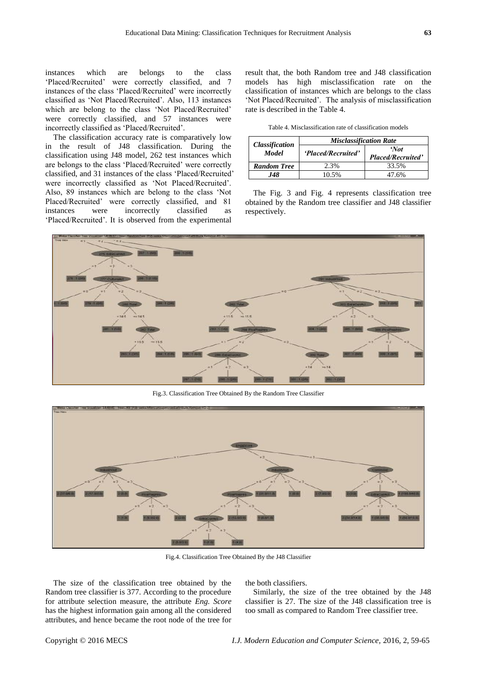instances which are belongs to the class ‗Placed/Recruited' were correctly classified, and 7 instances of the class 'Placed/Recruited' were incorrectly classified as ‗Not Placed/Recruited'. Also, 113 instances which are belong to the class 'Not Placed/Recruited' were correctly classified, and 57 instances were incorrectly classified as 'Placed/Recruited'.

The classification accuracy rate is comparatively low in the result of J48 classification. During the classification using J48 model, 262 test instances which are belongs to the class 'Placed/Recruited' were correctly classified, and 31 instances of the class 'Placed/Recruited' were incorrectly classified as 'Not Placed/Recruited'. Also, 89 instances which are belong to the class 'Not Placed/Recruited' were correctly classified, and 81 instances were incorrectly classified as ‗Placed/Recruited'. It is observed from the experimental

result that, the both Random tree and J48 classification models has high misclassification rate on the classification of instances which are belongs to the class 'Not Placed/Recruited'. The analysis of misclassification rate is described in the Table 4.

Table 4. Misclassification rate of classification models

|                                       | <b>Misclassification Rate</b> |                                  |  |  |
|---------------------------------------|-------------------------------|----------------------------------|--|--|
| <b>Classification</b><br><b>Model</b> | 'Placed/Recruited'            | 'Not<br><b>Placed/Recruited'</b> |  |  |
| <b>Random Tree</b>                    | 2.3%                          | 33.5%                            |  |  |
| I48                                   | 10.5%                         | 47 6%                            |  |  |

The Fig. 3 and Fig. 4 represents classification tree obtained by the Random tree classifier and J48 classifier respectively.



Fig.3. Classification Tree Obtained By the Random Tree Classifier



Fig.4. Classification Tree Obtained By the J48 Classifier

The size of the classification tree obtained by the Random tree classifier is 377. According to the procedure for attribute selection measure, the attribute *Eng. Score* has the highest information gain among all the considered attributes, and hence became the root node of the tree for

the both classifiers.

Similarly, the size of the tree obtained by the J48 classifier is 27. The size of the J48 classification tree is too small as compared to Random Tree classifier tree.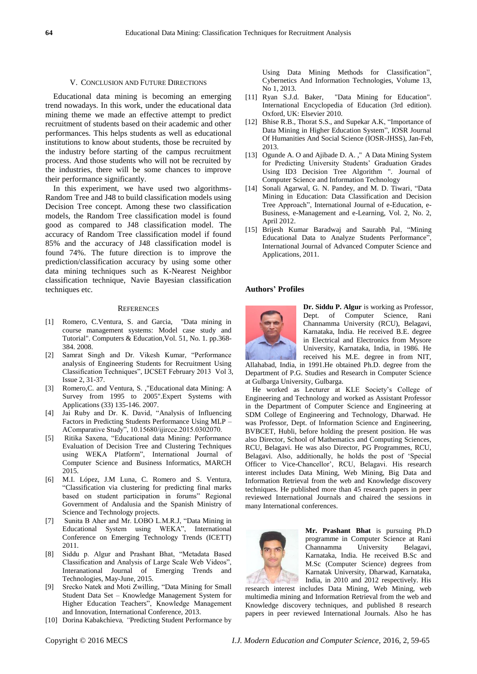#### V. CONCLUSION AND FUTURE DIRECTIONS

Educational data mining is becoming an emerging trend nowadays. In this work, under the educational data mining theme we made an effective attempt to predict recruitment of students based on their academic and other performances. This helps students as well as educational institutions to know about students, those be recruited by the industry before starting of the campus recruitment process. And those students who will not be recruited by the industries, there will be some chances to improve their performance significantly.

In this experiment, we have used two algorithms-Random Tree and J48 to build classification models using Decision Tree concept. Among these two classification models, the Random Tree classification model is found good as compared to J48 classification model. The accuracy of Random Tree classification model if found 85% and the accuracy of J48 classification model is found 74%. The future direction is to improve the prediction/classification accuracy by using some other data mining techniques such as K-Nearest Neighbor classification technique, Navie Bayesian classification techniques etc.

#### **REFERENCES**

- [1] Romero, C.Ventura, S. and Garcia, "Data mining in course management systems: Model case study and Tutorial". Computers & Education,Vol. 51, No. 1. pp.368- 384. 2008.
- [2] Samrat Singh and Dr. Vikesh Kumar, "Performance analysis of Engineering Students for Recruitment Using Classification Techniques", IJCSET February 2013 Vol 3, Issue 2, 31-37.
- [3] Romero,C. and Ventura, S. ,"Educational data Mining: A Survey from 1995 to 2005".Expert Systems with Applications (33) 135-146. 2007.
- [4] Jai Ruby and Dr. K. David, "Analysis of Influencing Factors in Predicting Students Performance Using MLP – AComparative Study", 10.15680/ijircce.2015.0302070.
- [5] Ritika Saxena, "Educational data Mining: Performance Evaluation of Decision Tree and Clustering Techniques using WEKA Platform", International Journal of Computer Science and Business Informatics, MARCH 2015.
- [6] M.I. López, J.M Luna, C. Romero and S. Ventura, ―Classification via clustering for predicting final marks based on student participation in forums" Regional Government of Andalusia and the Spanish Ministry of Science and Technology projects.
- [7] Sunita B Aher and Mr. LOBO L.M.R.J, "Data Mining in Educational System using WEKA", International Conference on Emerging Technology Trends (ICETT) 2011.
- [8] Siddu p. Algur and Prashant Bhat, "Metadata Based Classification and Analysis of Large Scale Web Videos", Interanational Journal of Emerging Trends and Technologies, May-June, 2015.
- [9] Srecko Natek and Moti Zwilling, "Data Mining for Small Student Data Set – Knowledge Management System for Higher Education Teachers", Knowledge Management and Innovation, International Conference, 2013.
- [10] Dorina Kabakchieva*, "*Predicting Student Performance by

Using Data Mining Methods for Classification", Cybernetics And Information Technologies, Volume 13,

- No 1, 2013.<br>[11] Ryan S.J.d. Baker, "Data Mining for Education". International Encyclopedia of Education (3rd edition). Oxford, UK: Elsevier 2010.
- [12] Bhise R.B., Thorat S.S., and Supekar A.K, "Importance of Data Mining in Higher Education System", IOSR Journal Of Humanities And Social Science (IOSR-JHSS), Jan-Feb, 2013.
- [13] Ogunde A. O and Ajibade D. A.," A Data Mining System for Predicting University Students' Graduation Grades Using ID3 Decision Tree Algorithm ". Journal of Computer Science and Information Technology
- [14] Sonali Agarwal, G. N. Pandey, and M. D. Tiwari, "Data Mining in Education: Data Classification and Decision Tree Approach", International Journal of e-Education, e-Business, e-Management and e-Learning, Vol. 2, No. 2, April 2012.
- [15] Brijesh Kumar Baradwaj and Saurabh Pal, "Mining Educational Data to Analyze Students Performance" International Journal of Advanced Computer Science and Applications, 2011.

#### **Authors' Profiles**



**Dr. Siddu P. Algur** is working as Professor, Dept. of Computer Science, Rani Channamma University (RCU), Belagavi, Karnataka, India. He received B.E. degree in Electrical and Electronics from Mysore University, Karnataka, India, in 1986. He received his M.E. degree in from NIT,

Allahabad, India, in 1991.He obtained Ph.D. degree from the Department of P.G. Studies and Research in Computer Science at Gulbarga University, Gulbarga.

He worked as Lecturer at KLE Society's College of Engineering and Technology and worked as Assistant Professor in the Department of Computer Science and Engineering at SDM College of Engineering and Technology, Dharwad. He was Professor, Dept. of Information Science and Engineering, BVBCET, Hubli, before holding the present position. He was also Director, School of Mathematics and Computing Sciences, RCU, Belagavi. He was also Director, PG Programmes, RCU, Belagavi. Also, additionally, he holds the post of 'Special Officer to Vice-Chancellor', RCU, Belagavi. His research interest includes Data Mining, Web Mining, Big Data and Information Retrieval from the web and Knowledge discovery techniques. He published more than 45 research papers in peer reviewed International Journals and chaired the sessions in many International conferences.



**Mr. Prashant Bhat** is pursuing Ph.D programme in Computer Science at Rani Channamma University Belagavi, Karnataka, India. He received B.Sc and M.Sc (Computer Science) degrees from Karnatak University, Dharwad, Karnataka, India, in 2010 and 2012 respectively. His

research interest includes Data Mining, Web Mining, web multimedia mining and Information Retrieval from the web and Knowledge discovery techniques, and published 8 research papers in peer reviewed International Journals. Also he has